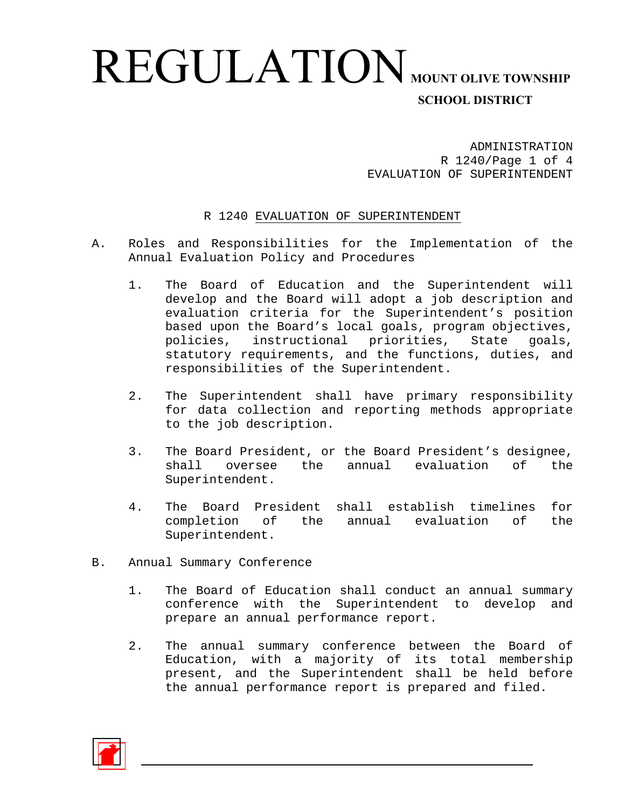## REGULATION **MOUNT OLIVE TOWNSHIP SCHOOL DISTRICT**

ADMINISTRATION R 1240/Page 1 of 4 EVALUATION OF SUPERINTENDENT

#### R 1240 EVALUATION OF SUPERINTENDENT

- A. Roles and Responsibilities for the Implementation of the Annual Evaluation Policy and Procedures
	- 1. The Board of Education and the Superintendent will develop and the Board will adopt a job description and evaluation criteria for the Superintendent's position based upon the Board's local goals, program objectives, policies, instructional priorities, State goals, statutory requirements, and the functions, duties, and responsibilities of the Superintendent.
	- 2. The Superintendent shall have primary responsibility for data collection and reporting methods appropriate to the job description.
	- 3. The Board President, or the Board President's designee, shall oversee the annual evaluation of the Superintendent.
	- 4. The Board President shall establish timelines for completion of the annual evaluation of the Superintendent.
- B. Annual Summary Conference
	- 1. The Board of Education shall conduct an annual summary conference with the Superintendent to develop and prepare an annual performance report.
	- 2. The annual summary conference between the Board of Education, with a majority of its total membership present, and the Superintendent shall be held before the annual performance report is prepared and filed.

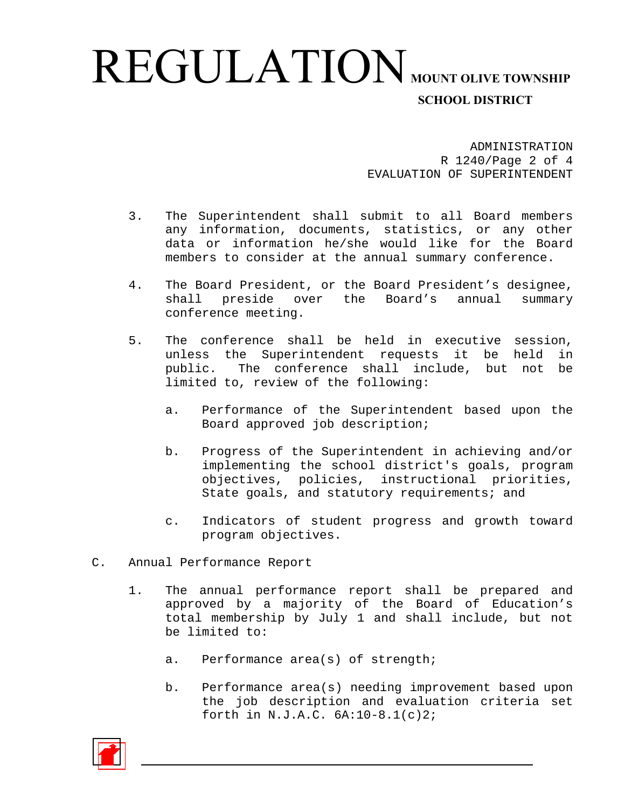## REGULATION **MOUNT OLIVE TOWNSHIP SCHOOL DISTRICT**

ADMINISTRATION R 1240/Page 2 of 4 EVALUATION OF SUPERINTENDENT

- 3. The Superintendent shall submit to all Board members any information, documents, statistics, or any other data or information he/she would like for the Board members to consider at the annual summary conference.
- 4. The Board President, or the Board President's designee, shall preside over the Board's annual summary conference meeting.
- 5. The conference shall be held in executive session, unless the Superintendent requests it be held in public. The conference shall include, but not be limited to, review of the following:
	- a. Performance of the Superintendent based upon the Board approved job description;
	- b. Progress of the Superintendent in achieving and/or implementing the school district's goals, program objectives, policies, instructional priorities, State goals, and statutory requirements; and
	- c. Indicators of student progress and growth toward program objectives.
- C. Annual Performance Report
	- 1. The annual performance report shall be prepared and approved by a majority of the Board of Education's total membership by July 1 and shall include, but not be limited to:
		- a. Performance area(s) of strength;
		- b. Performance area(s) needing improvement based upon the job description and evaluation criteria set forth in N.J.A.C. 6A:10-8.1(c)2;

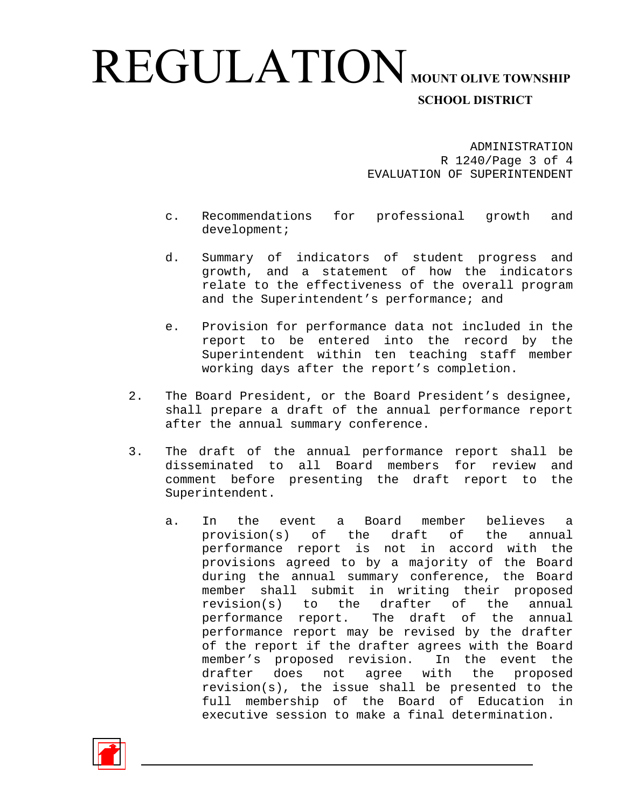# REGULATION **MOUNT OLIVE TOWNSHIP**

### **SCHOOL DISTRICT**

ADMINISTRATION R 1240/Page 3 of 4 EVALUATION OF SUPERINTENDENT

- c. Recommendations for professional growth and development;
- d. Summary of indicators of student progress and growth, and a statement of how the indicators relate to the effectiveness of the overall program and the Superintendent's performance; and
- e. Provision for performance data not included in the report to be entered into the record by the Superintendent within ten teaching staff member working days after the report's completion.
- 2. The Board President, or the Board President's designee, shall prepare a draft of the annual performance report after the annual summary conference.
- 3. The draft of the annual performance report shall be disseminated to all Board members for review and comment before presenting the draft report to the Superintendent.
	- a. In the event a Board member believes a provision(s) of the draft of the annual performance report is not in accord with the provisions agreed to by a majority of the Board during the annual summary conference, the Board member shall submit in writing their proposed revision(s) to the drafter of the annual performance report. The draft of the annual performance report may be revised by the drafter of the report if the drafter agrees with the Board member's proposed revision. In the event the drafter does not agree with the proposed revision(s), the issue shall be presented to the full membership of the Board of Education in executive session to make a final determination.